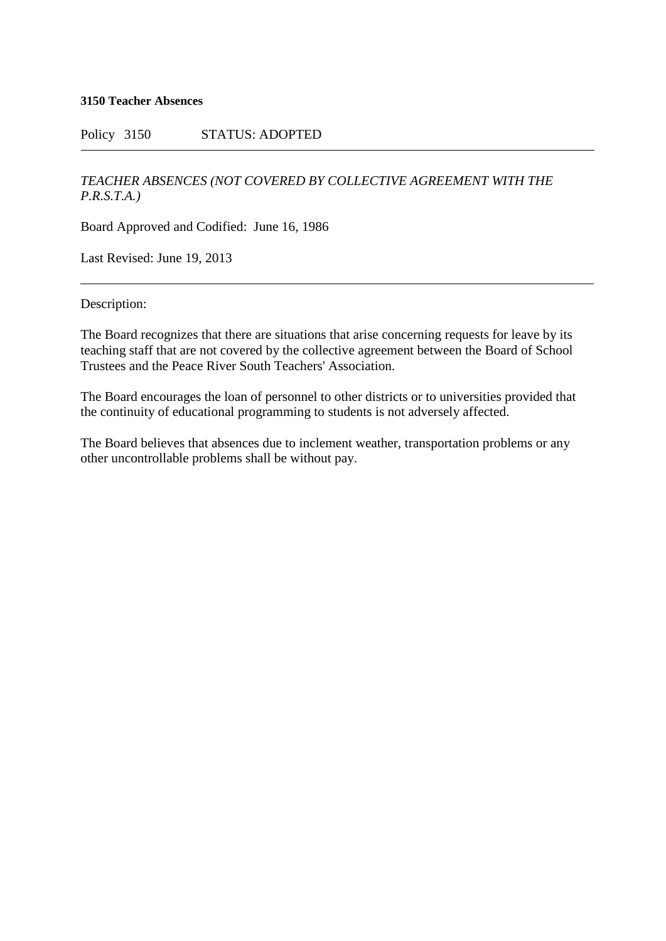## **3150 Teacher Absences**

## Policy 3150 STATUS: ADOPTED

## *TEACHER ABSENCES (NOT COVERED BY COLLECTIVE AGREEMENT WITH THE P.R.S.T.A.)*

Board Approved and Codified: June 16, 1986

Last Revised: June 19, 2013

Description:

The Board recognizes that there are situations that arise concerning requests for leave by its teaching staff that are not covered by the collective agreement between the Board of School Trustees and the Peace River South Teachers' Association.

The Board encourages the loan of personnel to other districts or to universities provided that the continuity of educational programming to students is not adversely affected.

The Board believes that absences due to inclement weather, transportation problems or any other uncontrollable problems shall be without pay.